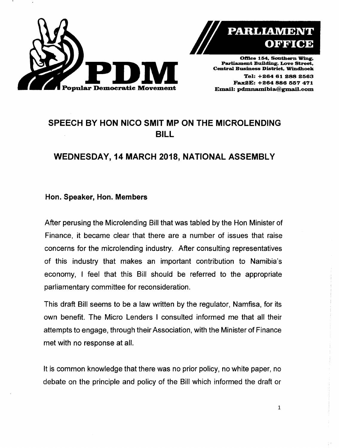



Office 154, Southern Wing, Parliament Building, Love Street, Central Business District. Windhoek

Tal: +264 61 288 2563 Fax2E: +264 886 557 471

# SPEECH BY HON NICO SMIT MP ON THE MICROLENDING BILL

## WEDNESDAY, 14 MARCH 2018, NATIONAL ASSEMBLY

### Hon. Speaker, Hon. Members

After perusing the Microlending Bill that was tabled by the Hon Minister of Finance, it became clear that there are a number of issues that raise concerns for the microlending industry. After consulting representatives of this industry that makes an important contribution to Namibia's economy, I feel that this Bill should be referred to the appropriate parliamentary committee for reconsideration.

This draft Bill seems to be a law written by the regulator, Namfisa, for its own benefit. The Micro Lenders I consulted informed me that all their attempts to engage, through their Association, with the Minister of Finance met with no response at all.

It is common knowledge that there was no prior policy, no white paper, no debate on the principle and policy of the Bill which informed the draft or

1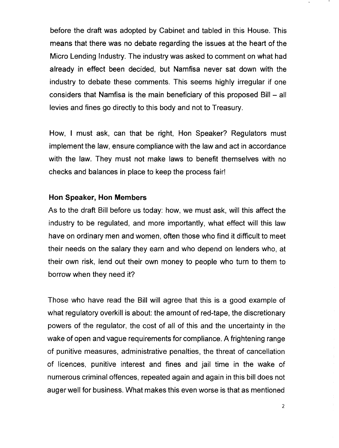before the draft was adopted by Cabinet and tabled in this House. This means that there was no debate regarding the issues at the heart of the Micro Lending Industry. The industry was asked to comment on what had already in effect been decided, but Namfisa never sat down with the industry to debate these comments. This seems highly irregular if one considers that Namfisa is the main beneficiary of this proposed  $Bill - all$ levies and fines go directly to this body and not to Treasury.

How, I must ask, can that be right, Hon Speaker? Regulators must implement the law, ensure compliance with the law and act in accordance with the law. They must not make laws to benefit themselves with no checks and balances in place to keep the process fair!

#### **Hon Speaker, Hon Members**

As to the draft Bill before us today: how, we must ask, will this affect the industry to be regulated, and more importantly, what effect will this law have on ordinary men and women, often those who find it difficult to meet their needs on the salary they earn and who depend on lenders who, at their own risk, lend out their own money to people who turn to them to borrow when they need it?

Those who have read the Bill will agree that this is a good example of what regulatory overkill is about: the amount of red-tape, the discretionary powers of the regulator, the cost of all of this and the uncertainty in the wake of open and vague requirements for compliance. A frightening range of punitive measures, administrative penalties, the threat of cancellation of licences, punitive interest and fines and jail time in the wake of numerous criminal offences, repeated again and again in this bill does not auger well for business. What makes this even worse is that as mentioned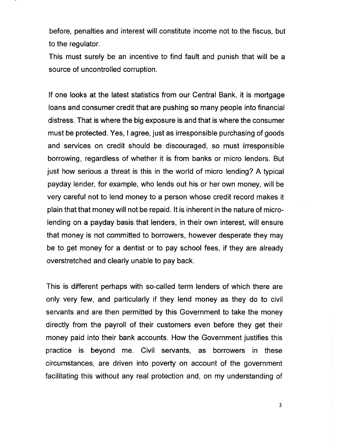before, penalties and interest will constitute income not to the fiscus, but to the regulator.

This must surely be an incentive to find fault and punish that will be a source of uncontrolled corruption.

If one looks at the latest statistics from our Central Bank, it is mortgage loans and consumer credit that are pushing so many people into financial distress. That is where the big exposure is and that is where the consumer must be protected. Yes, I agree, just as irresponsible purchasing of goods and services on credit should be discouraged, so must irresponsible borrowing, regardless of whether it is from banks or micro lenders. But just how serious a threat is this in the world of micro lending? A typical payday lender, for example, who lends out his or her own money, will be very careful not to lend money to a person whose credit record makes it plain that that money will not be repaid. It is inherent in the nature of microlending on a payday basis that lenders, in their own interest, will ensure that money is not committed to borrowers, however desperate they may be to get money for a dentist or to pay school fees, if they are already overstretched and clearly unable to pay back.

This is different perhaps with so-called term lenders of which there are only very few, and particularly if they lend money as they do to civil servants and are then permitted by this Government to take the money directly from the payroll of their customers even before they get their money paid into their bank accounts. How the Government justifies this practice is beyond me. Civil servants, as borrowers in these circumstances, are driven into poverty on account of the government facilitating this without any real protection and, on my understanding of

3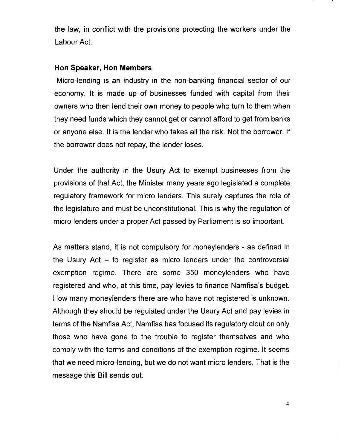the law, in conflict with the provisions protecting the workers under the Labour Act.

#### **Hon Speaker, Hon Members**

Micro-lending is an industry in the non-banking financial sector of our economy. It is made up of businesses funded with capital from their owners who then lend their own money to people who turn to them when they need funds which they cannot get or cannot afford to get from banks or anyone else. It is the lender who takes all the risk. Not the borrower. If the borrower does not repay, the lender loses.

Under the authority in the Usury Act to exempt businesses from the provisions of that Act, the Minister many years ago legislated a complete regulatory framework for micro lenders. This surely captures the role of the legislature and must be unconstitutional. This is why the regulation of micro lenders under a proper Act passed by Parliament is so important.

As matters stand, it is not compulsory for moneylenders - as defined in the Usury Act  $-$  to register as micro lenders under the controversial exemption regime. There are some 350 moneylenders who have registered and who, at this time, pay levies to finance Namfisa's budget. How many moneylenders there are who have not registered is unknown. Although they should be regulated under the Usury Act and pay levies in terms of the Namfisa Act, Namfisa has focused its regulatory clout on only those who have gone to the trouble to register themselves and who comply with the terms and conditions of the exemption regime. It seems that we need micro-lending, but we do not want micro lenders. That is the message this Bill sends out.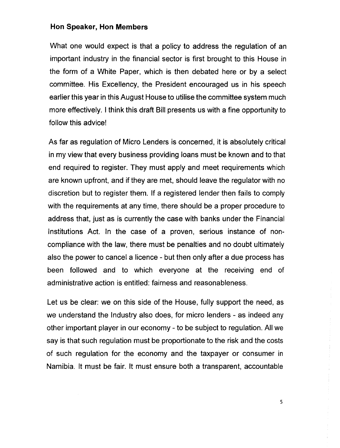#### **Hon Speaker, Hon Members**

What one would expect is that a policy to address the regulation of an important industry in the financial sector is first brought to this House in the form of a White Paper, which is then debated here or by a select committee. His Excellency, the President encouraged us in his speech earlier this year in this August House to utilise the committee system much more effectively. I think this draft Bill presents us with a fine opportunity to follow this advice!

As far as regulation of Micro Lenders is concerned, it is absolutely critical in my view that every business providing loans must be known and to that end required to register. They must apply and meet requirements which are known upfront, and if they are met, should leave the regulator with no discretion but to register them. If a registered lender then fails to comply with the requirements at any time, there should be a proper procedure to address that, just as is currently the case with banks under the Financial Institutions Act. In the case of a proven, serious instance of noncompliance with the law, there must be penalties and no doubt ultimately also the power to cancel a licence - but then only after a due process has been followed and to which everyone at the receiving end of administrative action is entitled: fairness and reasonableness.

Let us be clear: we on this side of the House, fully support the need, as we understand the Industry also does, for micro lenders - as indeed any other important player in our economy - to be subject to regulation. All we say is that such regulation must be proportionate to the risk and the costs of such regulation for the economy and the taxpayer or consumer in Namibia. It must be fair. It must ensure both a transparent, accountable

5